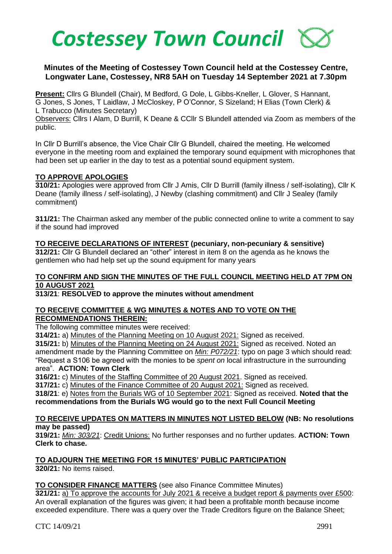

# **Minutes of the Meeting of Costessey Town Council held at the Costessey Centre, Longwater Lane, Costessey, NR8 5AH on Tuesday 14 September 2021 at 7.30pm**

**Present:** Cllrs G Blundell (Chair), M Bedford, G Dole, L Gibbs-Kneller, L Glover, S Hannant, G Jones, S Jones, T Laidlaw, J McCloskey, P O'Connor, S Sizeland; H Elias (Town Clerk) & L Trabucco (Minutes Secretary)

Observers: Cllrs I Alam, D Burrill, K Deane & CCllr S Blundell attended via Zoom as members of the public.

In Cllr D Burrill's absence, the Vice Chair Cllr G Blundell, chaired the meeting. He welcomed everyone in the meeting room and explained the temporary sound equipment with microphones that had been set up earlier in the day to test as a potential sound equipment system.

#### **TO APPROVE APOLOGIES**

**310/21:** Apologies were approved from Cllr J Amis, Cllr D Burrill (family illness / self-isolating), Cllr K Deane (family illness / self-isolating), J Newby (clashing commitment) and Cllr J Sealey (family commitment)

**311/21:** The Chairman asked any member of the public connected online to write a comment to say if the sound had improved

#### **TO RECEIVE DECLARATIONS OF INTEREST (pecuniary, non-pecuniary & sensitive) 312/21:** Cllr G Blundell declared an "other" interest in item 8 on the agenda as he knows the gentlemen who had help set up the sound equipment for many years

# **TO CONFIRM AND SIGN THE MINUTES OF THE FULL COUNCIL MEETING HELD AT 7PM ON 10 AUGUST 2021**

## **313/21**: **RESOLVED to approve the minutes without amendment**

#### **TO RECEIVE COMMITTEE & WG MINUTES & NOTES AND TO VOTE ON THE RECOMMENDATIONS THEREIN:**

The following committee minutes were received:

**314/21:** a) Minutes of the Planning Meeting on 10 August 2021: Signed as received.

**315/21:** b) Minutes of the Planning Meeting on 24 August 2021: Signed as received. Noted an amendment made by the Planning Committee on *Min: P072/21*: typo on page 3 which should read: "Request a S106 be agreed with the monies to be *spent on* local infrastructure in the surrounding area". **ACTION: Town Clerk**

**316/21:** c) Minutes of the Staffing Committee of 20 August 2021. Signed as received.

**317/21:** c) Minutes of the Finance Committee of 20 August 2021: Signed as received.

**318/21**: e) Notes from the Burials WG of 10 September 2021: Signed as received. **Noted that the recommendations from the Burials WG would go to the next Full Council Meeting**

#### **TO RECEIVE UPDATES ON MATTERS IN MINUTES NOT LISTED BELOW (NB: No resolutions may be passed)**

**319/21:** *Min: 303/21*: Credit Unions: No further responses and no further updates. **ACTION: Town Clerk to chase.**

# **TO ADJOURN THE MEETING FOR 15 MINUTES' PUBLIC PARTICIPATION**

**320/21:** No items raised.

## **TO CONSIDER FINANCE MATTERS** (see also Finance Committee Minutes)

**321/21:** a) To approve the accounts for July 2021 & receive a budget report & payments over £500: An overall explanation of the figures was given; it had been a profitable month because income exceeded expenditure. There was a query over the Trade Creditors figure on the Balance Sheet;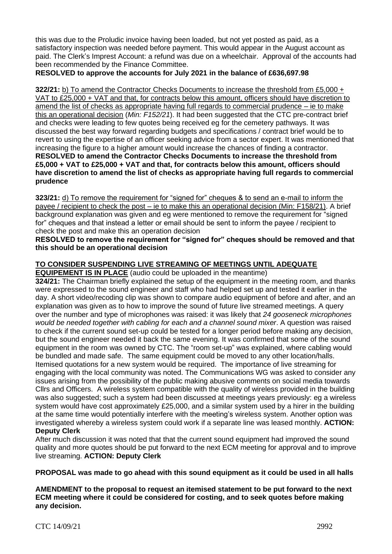this was due to the Proludic invoice having been loaded, but not yet posted as paid, as a satisfactory inspection was needed before payment. This would appear in the August account as paid. The Clerk's Imprest Account: a refund was due on a wheelchair. Approval of the accounts had been recommended by the Finance Committee.

# **RESOLVED to approve the accounts for July 2021 in the balance of £636,697.98**

**322/21:** b) To amend the Contractor Checks Documents to increase the threshold from £5,000 + VAT to £25,000 + VAT and that, for contracts below this amount, officers should have discretion to amend the list of checks as appropriate having full regards to commercial prudence – ie to make this an operational decision (*Min: F152/21*). It had been suggested that the CTC pre-contract brief and checks were leading to few quotes being received eg for the cemetery pathways. It was discussed the best way forward regarding budgets and specifications / contract brief would be to revert to using the expertise of an officer seeking advice from a sector expert. It was mentioned that increasing the figure to a higher amount would increase the chances of finding a contractor. **RESOLVED to amend the Contractor Checks Documents to increase the threshold from £5,000 + VAT to £25,000 + VAT and that, for contracts below this amount, officers should have discretion to amend the list of checks as appropriate having full regards to commercial prudence** 

**323/21:** d) To remove the requirement for "signed for" cheques & to send an e-mail to inform the payee / recipient to check the post – ie to make this an operational decision (Min: F158/21). A brief background explanation was given and eg were mentioned to remove the requirement for "signed for" cheques and that instead a letter or email should be sent to inform the payee / recipient to check the post and make this an operation decision

## **RESOLVED to remove the requirement for "signed for" cheques should be removed and that this should be an operational decision**

# **TO CONSIDER SUSPENDING LIVE STREAMING OF MEETINGS UNTIL ADEQUATE**

**EQUIPEMENT IS IN PLACE** (audio could be uploaded in the meantime)

**324/21:** The Chairman briefly explained the setup of the equipment in the meeting room, and thanks were expressed to the sound engineer and staff who had helped set up and tested it earlier in the day. A short video/recoding clip was shown to compare audio equipment of before and after, and an explanation was given as to how to improve the sound of future live streamed meetings. A query over the number and type of microphones was raised: it was likely that *24 gooseneck microphones would be needed together with cabling for each and a channel sound mixer*. A question was raised to check if the current sound set-up could be tested for a longer period before making any decision, but the sound engineer needed it back the same evening. It was confirmed that some of the sound equipment in the room was owned by CTC. The "room set-up" was explained, where cabling would be bundled and made safe. The same equipment could be moved to any other location/halls. Itemised quotations for a new system would be required. The importance of live streaming for engaging with the local community was noted. The Communications WG was asked to consider any issues arising from the possibility of the public making abusive comments on social media towards Cllrs and Officers. A wireless system compatible with the quality of wireless provided in the building was also suggested; such a system had been discussed at meetings years previously: eg a wireless system would have cost approximately £25,000, and a similar system used by a hirer in the building at the same time would potentially interfere with the meeting's wireless system. Another option was investigated whereby a wireless system could work if a separate line was leased monthly. **ACTION:** 

## **Deputy Clerk**

After much discussion it was noted that that the current sound equipment had improved the sound quality and more quotes should be put forward to the next ECM meeting for approval and to improve live streaming. **ACTION: Deputy Clerk**

## **PROPOSAL was made to go ahead with this sound equipment as it could be used in all halls**

**AMENDMENT to the proposal to request an itemised statement to be put forward to the next ECM meeting where it could be considered for costing, and to seek quotes before making any decision.**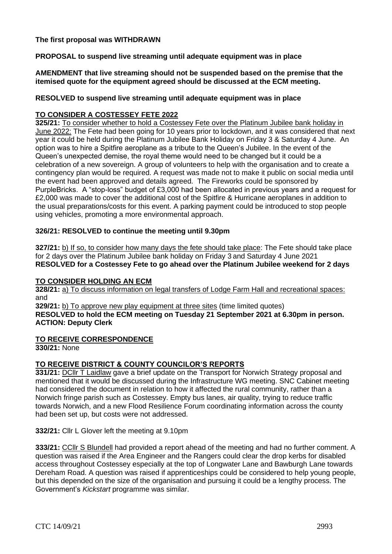# **The first proposal was WITHDRAWN**

**PROPOSAL to suspend live streaming until adequate equipment was in place**

**AMENDMENT that live streaming should not be suspended based on the premise that the itemised quote for the equipment agreed should be discussed at the ECM meeting.**

#### **RESOLVED to suspend live streaming until adequate equipment was in place**

#### **TO CONSIDER A COSTESSEY FETE 2022**

**325/21:** To consider whether to hold a Costessey Fete over the Platinum Jubilee bank holiday in June 2022: The Fete had been going for 10 years prior to lockdown, and it was considered that next year it could be held during the Platinum Jubilee Bank Holiday on Friday 3 & Saturday 4 June. An option was to hire a Spitfire aeroplane as a tribute to the Queen's Jubilee. In the event of the Queen's unexpected demise, the royal theme would need to be changed but it could be a celebration of a new sovereign. A group of volunteers to help with the organisation and to create a contingency plan would be required. A request was made not to make it public on social media until the event had been approved and details agreed. The Fireworks could be sponsored by PurpleBricks. A "stop-loss" budget of £3,000 had been allocated in previous years and a request for £2,000 was made to cover the additional cost of the Spitfire & Hurricane aeroplanes in addition to the usual preparations/costs for this event. A parking payment could be introduced to stop people using vehicles, promoting a more environmental approach.

#### **326/21: RESOLVED to continue the meeting until 9.30pm**

**327/21:** b) If so, to consider how many days the fete should take place: The Fete should take place for 2 days over the Platinum Jubilee bank holiday on Friday 3 and Saturday 4 June 2021 **RESOLVED for a Costessey Fete to go ahead over the Platinum Jubilee weekend for 2 days**

## **TO CONSIDER HOLDING AN ECM**

**328/21:** a) To discuss information on legal transfers of Lodge Farm Hall and recreational spaces: and

**329/21:** b) To approve new play equipment at three sites (time limited quotes) **RESOLVED to hold the ECM meeting on Tuesday 21 September 2021 at 6.30pm in person. ACTION: Deputy Clerk**

## **TO RECEIVE CORRESPONDENCE**

**330/21:** None

## **TO RECEIVE DISTRICT & COUNTY COUNCILOR'S REPORTS**

**331/21:** DCllr T Laidlaw gave a brief update on the Transport for Norwich Strategy proposal and mentioned that it would be discussed during the Infrastructure WG meeting. SNC Cabinet meeting had considered the document in relation to how it affected the rural community, rather than a Norwich fringe parish such as Costessey. Empty bus lanes, air quality, trying to reduce traffic towards Norwich, and a new Flood Resilience Forum coordinating information across the county had been set up, but costs were not addressed.

**332/21:** Cllr L Glover left the meeting at 9.10pm

**333/21:** CCllr S Blundell had provided a report ahead of the meeting and had no further comment. A question was raised if the Area Engineer and the Rangers could clear the drop kerbs for disabled access throughout Costessey especially at the top of Longwater Lane and Bawburgh Lane towards Dereham Road. A question was raised if apprenticeships could be considered to help young people, but this depended on the size of the organisation and pursuing it could be a lengthy process. The Government's *Kickstart* programme was similar.